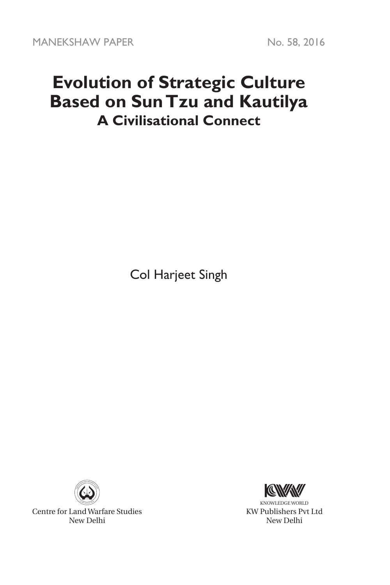## **Evolution of Strategic Culture Based on Sun Tzu and Kautilya A Civilisational Connect**

Col Harjeet Singh



Centre for Land Warfare Studies New Delhi



KNOWLEDGE WORLD KW Publishers Pvt Ltd New Delhi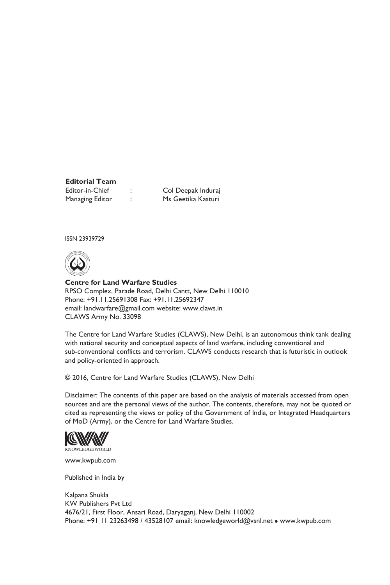# **Editorial Team**

Editor-in-Chief : Col Deepak Induraj Managing Editor : Ms Geetika Kasturi

ISSN 23939729



**Centre for Land Warfare Studies**  RPSO Complex, Parade Road, Delhi Cantt, New Delhi 110010 Phone: +91.11.25691308 Fax: +91.11.25692347 email: landwarfare@gmail.com website: www.claws.in CLAWS Army No. 33098

The Centre for Land Warfare Studies (CLAWS), New Delhi, is an autonomous think tank dealing with national security and conceptual aspects of land warfare, including conventional and sub-conventional conflicts and terrorism. CLAWS conducts research that is futuristic in outlook and policy-oriented in approach.

© 2016, Centre for Land Warfare Studies (CLAWS), New Delhi

Disclaimer: The contents of this paper are based on the analysis of materials accessed from open sources and are the personal views of the author. The contents, therefore, may not be quoted or cited as representing the views or policy of the Government of India, or Integrated Headquarters of MoD (Army), or the Centre for Land Warfare Studies.



www.kwpub.com

Published in India by

Kalpana Shukla KW Publishers Pvt Ltd 4676/21, First Floor, Ansari Road, Daryaganj, New Delhi 110002 Phone: +91 11 23263498 / 43528107 email: knowledgeworld@vsnl.net • www.kwpub.com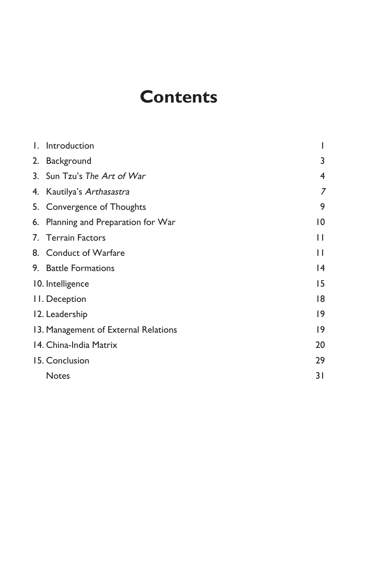## **Contents**

| I. Introduction                      |              |
|--------------------------------------|--------------|
| 2. Background                        | 3            |
| 3. Sun Tzu's The Art of War          | 4            |
| 4. Kautilya's Arthasastra            | 7            |
| 5. Convergence of Thoughts           | 9            |
| 6. Planning and Preparation for War  | 10           |
| 7. Terrain Factors                   | $\mathsf{L}$ |
| 8. Conduct of Warfare                | П            |
| 9. Battle Formations                 | 14           |
| 10. Intelligence                     | 15           |
| II. Deception                        | 18           |
| 12. Leadership                       | 19           |
| 13. Management of External Relations | 19           |
| 14. China-India Matrix               | 20           |
| 15. Conclusion                       | 29           |
| <b>Notes</b>                         | 31           |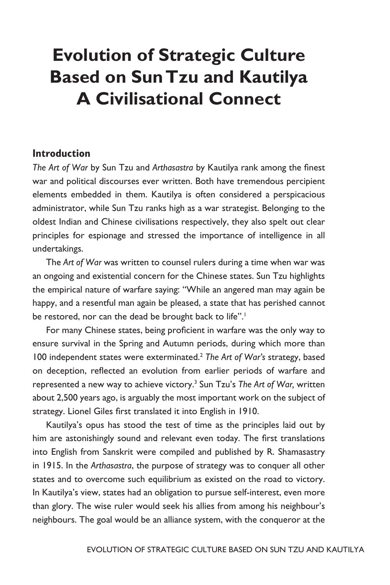## **Evolution of Strategic Culture Based on Sun Tzu and Kautilya A Civilisational Connect**

## **Introduction**

*The Art of War* by Sun Tzu and *Arthasastra* by Kautilya rank among the finest war and political discourses ever written. Both have tremendous percipient elements embedded in them. Kautilya is often considered a perspicacious administrator, while Sun Tzu ranks high as a war strategist. Belonging to the oldest Indian and Chinese civilisations respectively, they also spelt out clear principles for espionage and stressed the importance of intelligence in all undertakings.

The *Art of War* was written to counsel rulers during a time when war was an ongoing and existential concern for the Chinese states. Sun Tzu highlights the empirical nature of warfare saying: "While an angered man may again be happy, and a resentful man again be pleased, a state that has perished cannot be restored, nor can the dead be brought back to life".<sup>1</sup>

For many Chinese states, being proficient in warfare was the only way to ensure survival in the Spring and Autumn periods, during which more than 100 independent states were exterminated.2 *The Art of War's* strategy, based on deception, reflected an evolution from earlier periods of warfare and represented a new way to achieve victory.3 Sun Tzu's *The Art of War,* written about 2,500 years ago, is arguably the most important work on the subject of strategy. Lionel Giles first translated it into English in 1910.

Kautilya's opus has stood the test of time as the principles laid out by him are astonishingly sound and relevant even today. The first translations into English from Sanskrit were compiled and published by R. Shamasastry in 1915. In the *Arthasastra*, the purpose of strategy was to conquer all other states and to overcome such equilibrium as existed on the road to victory. In Kautilya's view, states had an obligation to pursue self-interest, even more than glory. The wise ruler would seek his allies from among his neighbour's neighbours. The goal would be an alliance system, with the conqueror at the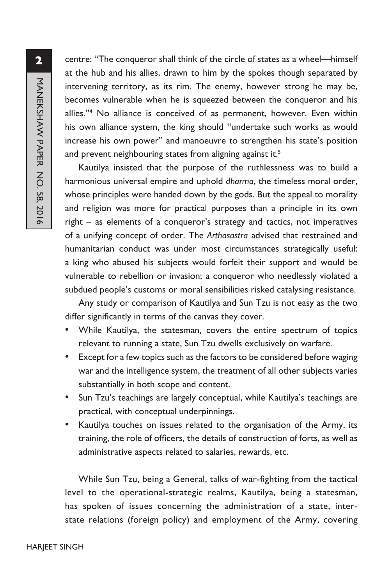centre: "The conqueror shall think of the circle of states as a wheel—himself at the hub and his allies, drawn to him by the spokes though separated by intervening territory, as its rim. The enemy, however strong he may be, becomes vulnerable when he is squeezed between the conqueror and his allies."4 No alliance is conceived of as permanent, however. Even within his own alliance system, the king should "undertake such works as would increase his own power" and manoeuvre to strengthen his state's position and prevent neighbouring states from aligning against it.<sup>5</sup>

Kautilya insisted that the purpose of the ruthlessness was to build a harmonious universal empire and uphold *dharma*, the timeless moral order, whose principles were handed down by the gods. But the appeal to morality and religion was more for practical purposes than a principle in its own right – as elements of a conqueror's strategy and tactics, not imperatives of a unifying concept of order. The *Arthasastra* advised that restrained and humanitarian conduct was under most circumstances strategically useful: a king who abused his subjects would forfeit their support and would be vulnerable to rebellion or invasion; a conqueror who needlessly violated a subdued people's customs or moral sensibilities risked catalysing resistance.

Any study or comparison of Kautilya and Sun Tzu is not easy as the two differ significantly in terms of the canvas they cover.

- While Kautilya, the statesman, covers the entire spectrum of topics relevant to running a state, Sun Tzu dwells exclusively on warfare.
- Except for a few topics such as the factors to be considered before waging war and the intelligence system, the treatment of all other subjects varies substantially in both scope and content.
- Sun Tzu's teachings are largely conceptual, while Kautilya's teachings are practical, with conceptual underpinnings.
- Kautilya touches on issues related to the organisation of the Army, its training, the role of officers, the details of construction of forts, as well as administrative aspects related to salaries, rewards, etc.

While Sun Tzu, being a General, talks of war-fighting from the tactical level to the operational-strategic realms, Kautilya, being a statesman, has spoken of issues concerning the administration of a state, interstate relations (foreign policy) and employment of the Army, covering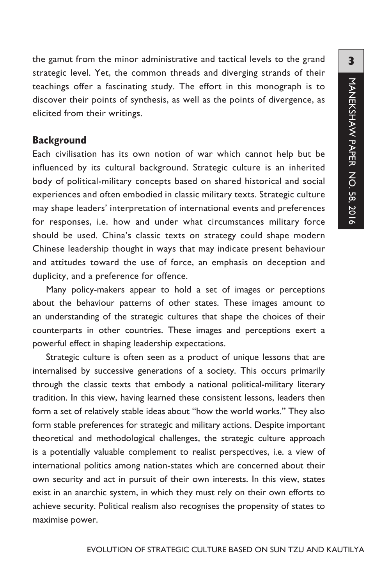the gamut from the minor administrative and tactical levels to the grand strategic level. Yet, the common threads and diverging strands of their teachings offer a fascinating study. The effort in this monograph is to discover their points of synthesis, as well as the points of divergence, as elicited from their writings.

## **Background**

Each civilisation has its own notion of war which cannot help but be influenced by its cultural background. Strategic culture is an inherited body of political-military concepts based on shared historical and social experiences and often embodied in classic military texts. Strategic culture may shape leaders' interpretation of international events and preferences for responses, i.e. how and under what circumstances military force should be used. China's classic texts on strategy could shape modern Chinese leadership thought in ways that may indicate present behaviour and attitudes toward the use of force, an emphasis on deception and duplicity, and a preference for offence.

Many policy-makers appear to hold a set of images or perceptions about the behaviour patterns of other states. These images amount to an understanding of the strategic cultures that shape the choices of their counterparts in other countries. These images and perceptions exert a powerful effect in shaping leadership expectations.

Strategic culture is often seen as a product of unique lessons that are internalised by successive generations of a society. This occurs primarily through the classic texts that embody a national political-military literary tradition. In this view, having learned these consistent lessons, leaders then form a set of relatively stable ideas about "how the world works." They also form stable preferences for strategic and military actions. Despite important theoretical and methodological challenges, the strategic culture approach is a potentially valuable complement to realist perspectives, i.e. a view of international politics among nation-states which are concerned about their own security and act in pursuit of their own interests. In this view, states exist in an anarchic system, in which they must rely on their own efforts to achieve security. Political realism also recognises the propensity of states to maximise power.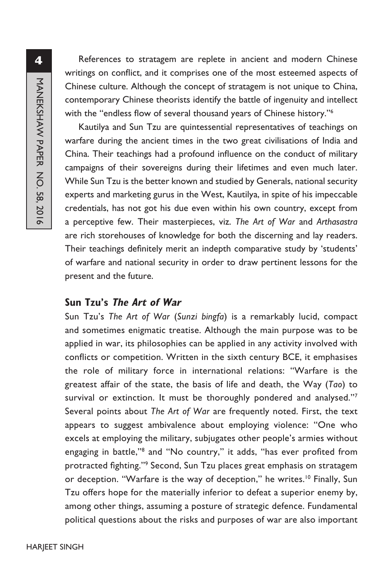References to stratagem are replete in ancient and modern Chinese writings on conflict, and it comprises one of the most esteemed aspects of Chinese culture. Although the concept of stratagem is not unique to China, contemporary Chinese theorists identify the battle of ingenuity and intellect with the "endless flow of several thousand years of Chinese history."<sup>6</sup>

Kautilya and Sun Tzu are quintessential representatives of teachings on warfare during the ancient times in the two great civilisations of India and China. Their teachings had a profound influence on the conduct of military campaigns of their sovereigns during their lifetimes and even much later. While Sun Tzu is the better known and studied by Generals, national security experts and marketing gurus in the West, Kautilya, in spite of his impeccable credentials, has not got his due even within his own country, except from a perceptive few. Their masterpieces, viz. *The Art of War* and *Arthasastra* are rich storehouses of knowledge for both the discerning and lay readers. Their teachings definitely merit an indepth comparative study by 'students' of warfare and national security in order to draw pertinent lessons for the present and the future.

## **Sun Tzu's The Art of War**

Sun Tzu's *The Art of War* (*Sunzi bingfa*) is a remarkably lucid, compact and sometimes enigmatic treatise. Although the main purpose was to be applied in war, its philosophies can be applied in any activity involved with conflicts or competition. Written in the sixth century BCE, it emphasises the role of military force in international relations: "Warfare is the greatest affair of the state, the basis of life and death, the Way (*Tao*) to survival or extinction. It must be thoroughly pondered and analysed."7 Several points about *The Art of War* are frequently noted. First, the text appears to suggest ambivalence about employing violence: "One who excels at employing the military, subjugates other people's armies without engaging in battle,"<sup>8</sup> and "No country," it adds, "has ever profited from protracted fighting."<sup>9</sup> Second, Sun Tzu places great emphasis on stratagem or deception. "Warfare is the way of deception," he writes.<sup>10</sup> Finally, Sun Tzu offers hope for the materially inferior to defeat a superior enemy by, among other things, assuming a posture of strategic defence. Fundamental political questions about the risks and purposes of war are also important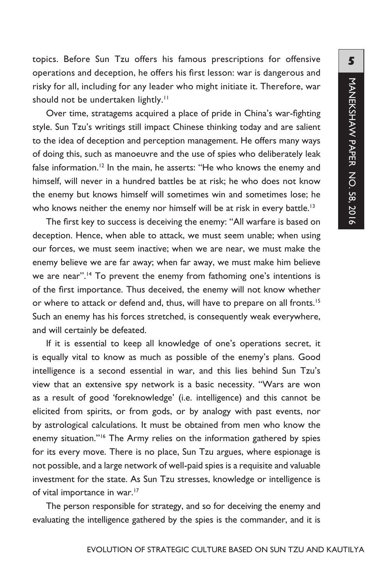topics. Before Sun Tzu offers his famous prescriptions for offensive operations and deception, he offers his first lesson: war is dangerous and risky for all, including for any leader who might initiate it. Therefore, war should not be undertaken lightly.<sup>11</sup>

Over time, stratagems acquired a place of pride in China's war-fighting style. Sun Tzu's writings still impact Chinese thinking today and are salient to the idea of deception and perception management. He offers many ways of doing this, such as manoeuvre and the use of spies who deliberately leak false information.<sup>12</sup> In the main, he asserts: "He who knows the enemy and himself, will never in a hundred battles be at risk; he who does not know the enemy but knows himself will sometimes win and sometimes lose; he who knows neither the enemy nor himself will be at risk in every battle.<sup>13</sup>

The first key to success is deceiving the enemy: "All warfare is based on deception. Hence, when able to attack, we must seem unable; when using our forces, we must seem inactive; when we are near, we must make the enemy believe we are far away; when far away, we must make him believe we are near".<sup>14</sup> To prevent the enemy from fathoming one's intentions is of the first importance. Thus deceived, the enemy will not know whether or where to attack or defend and, thus, will have to prepare on all fronts.<sup>15</sup> Such an enemy has his forces stretched, is consequently weak everywhere, and will certainly be defeated.

If it is essential to keep all knowledge of one's operations secret, it is equally vital to know as much as possible of the enemy's plans. Good intelligence is a second essential in war, and this lies behind Sun Tzu's view that an extensive spy network is a basic necessity. "Wars are won as a result of good 'foreknowledge' (i.e. intelligence) and this cannot be elicited from spirits, or from gods, or by analogy with past events, nor by astrological calculations. It must be obtained from men who know the enemy situation."<sup>16</sup> The Army relies on the information gathered by spies for its every move. There is no place, Sun Tzu argues, where espionage is not possible, and a large network of well-paid spies is a requisite and valuable investment for the state. As Sun Tzu stresses, knowledge or intelligence is of vital importance in war.<sup>17</sup>

The person responsible for strategy, and so for deceiving the enemy and evaluating the intelligence gathered by the spies is the commander, and it is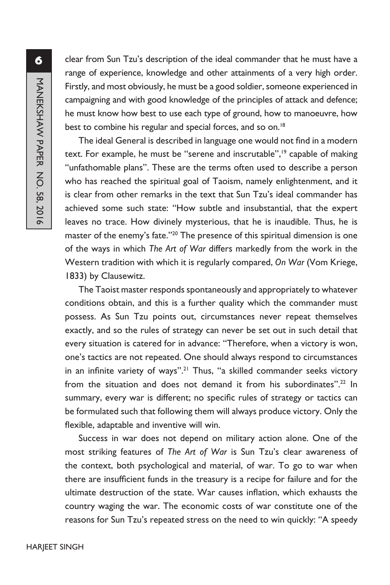clear from Sun Tzu's description of the ideal commander that he must have a range of experience, knowledge and other attainments of a very high order. Firstly, and most obviously, he must be a good soldier, someone experienced in campaigning and with good knowledge of the principles of attack and defence; he must know how best to use each type of ground, how to manoeuvre, how best to combine his regular and special forces, and so on.<sup>18</sup>

The ideal General is described in language one would not find in a modern text. For example, he must be "serene and inscrutable",<sup>19</sup> capable of making "unfathomable plans". These are the terms often used to describe a person who has reached the spiritual goal of Taoism, namely enlightenment, and it is clear from other remarks in the text that Sun Tzu's ideal commander has achieved some such state: "How subtle and insubstantial, that the expert leaves no trace. How divinely mysterious, that he is inaudible. Thus, he is master of the enemy's fate."<sup>20</sup> The presence of this spiritual dimension is one of the ways in which *The Art of War* differs markedly from the work in the Western tradition with which it is regularly compared, *On War* (Vom Kriege, 1833) by Clausewitz.

The Taoist master responds spontaneously and appropriately to whatever conditions obtain, and this is a further quality which the commander must possess. As Sun Tzu points out, circumstances never repeat themselves exactly, and so the rules of strategy can never be set out in such detail that every situation is catered for in advance: "Therefore, when a victory is won, one's tactics are not repeated. One should always respond to circumstances in an infinite variety of ways".<sup>21</sup> Thus, "a skilled commander seeks victory from the situation and does not demand it from his subordinates".<sup>22</sup> In summary, every war is different; no specific rules of strategy or tactics can be formulated such that following them will always produce victory. Only the flexible, adaptable and inventive will win.

Success in war does not depend on military action alone. One of the most striking features of *The Art of War* is Sun Tzu's clear awareness of the context, both psychological and material, of war. To go to war when there are insufficient funds in the treasury is a recipe for failure and for the ultimate destruction of the state. War causes inflation, which exhausts the country waging the war. The economic costs of war constitute one of the reasons for Sun Tzu's repeated stress on the need to win quickly: "A speedy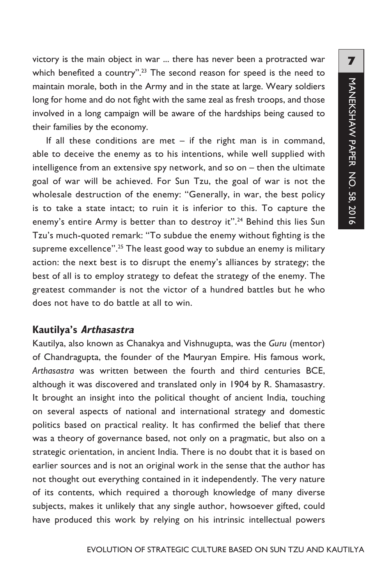victory is the main object in war ... there has never been a protracted war which benefited a country".<sup>23</sup> The second reason for speed is the need to maintain morale, both in the Army and in the state at large. Weary soldiers long for home and do not fight with the same zeal as fresh troops, and those involved in a long campaign will be aware of the hardships being caused to their families by the economy.

If all these conditions are met  $-$  if the right man is in command, able to deceive the enemy as to his intentions, while well supplied with intelligence from an extensive spy network, and so on – then the ultimate goal of war will be achieved. For Sun Tzu, the goal of war is not the wholesale destruction of the enemy: "Generally, in war, the best policy is to take a state intact; to ruin it is inferior to this. To capture the enemy's entire Army is better than to destroy it".<sup>24</sup> Behind this lies Sun Tzu's much-quoted remark: "To subdue the enemy without fighting is the supreme excellence".<sup>25</sup> The least good way to subdue an enemy is military action: the next best is to disrupt the enemy's alliances by strategy; the best of all is to employ strategy to defeat the strategy of the enemy. The greatest commander is not the victor of a hundred battles but he who does not have to do battle at all to win.

## **Kautilya's Arthasastra**

Kautilya, also known as Chanakya and Vishnugupta, was the *Guru* (mentor) of Chandragupta, the founder of the Mauryan Empire. His famous work, *Arthasastra* was written between the fourth and third centuries BCE, although it was discovered and translated only in 1904 by R. Shamasastry. It brought an insight into the political thought of ancient India, touching on several aspects of national and international strategy and domestic politics based on practical reality. It has confirmed the belief that there was a theory of governance based, not only on a pragmatic, but also on a strategic orientation, in ancient India. There is no doubt that it is based on earlier sources and is not an original work in the sense that the author has not thought out everything contained in it independently. The very nature of its contents, which required a thorough knowledge of many diverse subjects, makes it unlikely that any single author, howsoever gifted, could have produced this work by relying on his intrinsic intellectual powers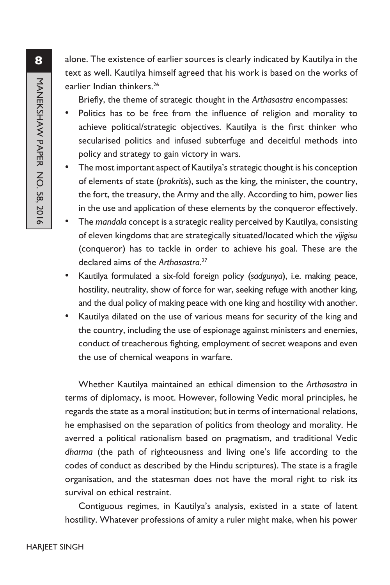alone. The existence of earlier sources is clearly indicated by Kautilya in the text as well. Kautilya himself agreed that his work is based on the works of earlier Indian thinkers.<sup>26</sup>

Briefly, the theme of strategic thought in the *Arthasastra* encompasses:

- Politics has to be free from the influence of religion and morality to achieve political/strategic objectives. Kautilya is the first thinker who secularised politics and infused subterfuge and deceitful methods into policy and strategy to gain victory in wars.
- The most important aspect of Kautilya's strategic thought is his conception of elements of state (*prakritis*), such as the king, the minister, the country, the fort, the treasury, the Army and the ally. According to him, power lies in the use and application of these elements by the conqueror effectively.
- The *mandala* concept is a strategic reality perceived by Kautilya, consisting of eleven kingdoms that are strategically situated/located which the *vijigisu*  (conqueror) has to tackle in order to achieve his goal. These are the declared aims of the *Arthasastra*. 27
- Kautilya formulated a six-fold foreign policy (*sadgunya*), i.e. making peace, hostility, neutrality, show of force for war, seeking refuge with another king, and the dual policy of making peace with one king and hostility with another.
- Kautilya dilated on the use of various means for security of the king and the country, including the use of espionage against ministers and enemies, conduct of treacherous fighting, employment of secret weapons and even the use of chemical weapons in warfare.

Whether Kautilya maintained an ethical dimension to the *Arthasastra* in terms of diplomacy, is moot. However, following Vedic moral principles, he regards the state as a moral institution; but in terms of international relations, he emphasised on the separation of politics from theology and morality. He averred a political rationalism based on pragmatism, and traditional Vedic *dharma* (the path of righteousness and living one's life according to the codes of conduct as described by the Hindu scriptures). The state is a fragile organisation, and the statesman does not have the moral right to risk its survival on ethical restraint.

Contiguous regimes, in Kautilya's analysis, existed in a state of latent hostility. Whatever professions of amity a ruler might make, when his power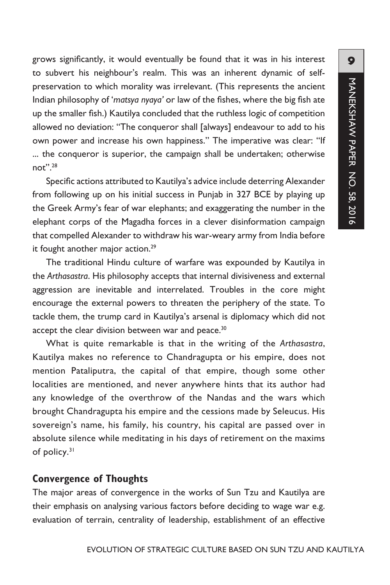grows significantly, it would eventually be found that it was in his interest to subvert his neighbour's realm. This was an inherent dynamic of selfpreservation to which morality was irrelevant. (This represents the ancient Indian philosophy of '*matsya nyaya'* or law of the fishes, where the big fish ate up the smaller fish.) Kautilya concluded that the ruthless logic of competition allowed no deviation: "The conqueror shall [always] endeavour to add to his own power and increase his own happiness." The imperative was clear: "If ... the conqueror is superior, the campaign shall be undertaken; otherwise not".28

Specific actions attributed to Kautilya's advice include deterring Alexander from following up on his initial success in Punjab in 327 BCE by playing up the Greek Army's fear of war elephants; and exaggerating the number in the elephant corps of the Magadha forces in a clever disinformation campaign that compelled Alexander to withdraw his war-weary army from India before it fought another major action.<sup>29</sup>

The traditional Hindu culture of warfare was expounded by Kautilya in the *Arthasastra*. His philosophy accepts that internal divisiveness and external aggression are inevitable and interrelated. Troubles in the core might encourage the external powers to threaten the periphery of the state. To tackle them, the trump card in Kautilya's arsenal is diplomacy which did not accept the clear division between war and peace.<sup>30</sup>

What is quite remarkable is that in the writing of the *Arthasastra*, Kautilya makes no reference to Chandragupta or his empire, does not mention Pataliputra, the capital of that empire, though some other localities are mentioned, and never anywhere hints that its author had any knowledge of the overthrow of the Nandas and the wars which brought Chandragupta his empire and the cessions made by Seleucus. His sovereign's name, his family, his country, his capital are passed over in absolute silence while meditating in his days of retirement on the maxims of policy.<sup>31</sup>

## **Convergence of Thoughts**

The major areas of convergence in the works of Sun Tzu and Kautilya are their emphasis on analysing various factors before deciding to wage war e.g. evaluation of terrain, centrality of leadership, establishment of an effective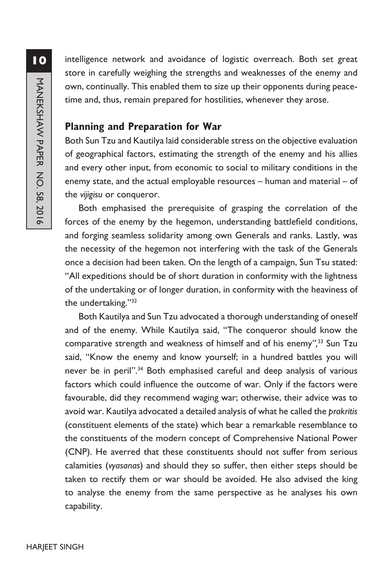intelligence network and avoidance of logistic overreach. Both set great store in carefully weighing the strengths and weaknesses of the enemy and own, continually. This enabled them to size up their opponents during peacetime and, thus, remain prepared for hostilities, whenever they arose.

## **Planning and Preparation for War**

Both Sun Tzu and Kautilya laid considerable stress on the objective evaluation of geographical factors, estimating the strength of the enemy and his allies and every other input, from economic to social to military conditions in the enemy state, and the actual employable resources – human and material – of the *vijigisu* or conqueror.

Both emphasised the prerequisite of grasping the correlation of the forces of the enemy by the hegemon, understanding battlefield conditions, and forging seamless solidarity among own Generals and ranks. Lastly, was the necessity of the hegemon not interfering with the task of the Generals once a decision had been taken. On the length of a campaign, Sun Tsu stated: "All expeditions should be of short duration in conformity with the lightness of the undertaking or of longer duration, in conformity with the heaviness of the undertaking."32

Both Kautilya and Sun Tzu advocated a thorough understanding of oneself and of the enemy. While Kautilya said, "The conqueror should know the comparative strength and weakness of himself and of his enemy*",*33 Sun Tzu said, "Know the enemy and know yourself; in a hundred battles you will never be in peril".<sup>34</sup> Both emphasised careful and deep analysis of various factors which could influence the outcome of war. Only if the factors were favourable, did they recommend waging war; otherwise, their advice was to avoid war. Kautilya advocated a detailed analysis of what he called the *prakritis* (constituent elements of the state) which bear a remarkable resemblance to the constituents of the modern concept of Comprehensive National Power (CNP). He averred that these constituents should not suffer from serious calamities (*vyasanas*) and should they so suffer, then either steps should be taken to rectify them or war should be avoided. He also advised the king to analyse the enemy from the same perspective as he analyses his own capability.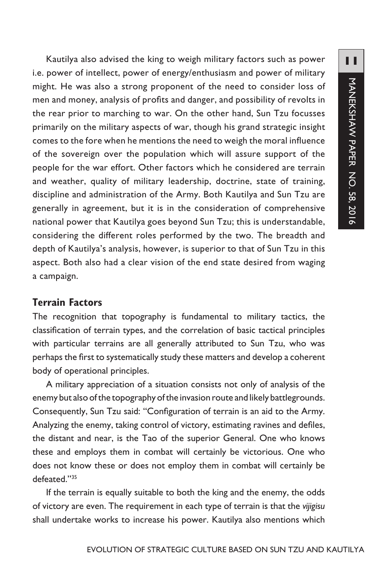Kautilya also advised the king to weigh military factors such as power i.e. power of intellect, power of energy/enthusiasm and power of military might. He was also a strong proponent of the need to consider loss of men and money, analysis of profits and danger, and possibility of revolts in the rear prior to marching to war. On the other hand, Sun Tzu focusses primarily on the military aspects of war, though his grand strategic insight comes to the fore when he mentions the need to weigh the moral influence of the sovereign over the population which will assure support of the people for the war effort. Other factors which he considered are terrain and weather, quality of military leadership, doctrine, state of training, discipline and administration of the Army. Both Kautilya and Sun Tzu are generally in agreement, but it is in the consideration of comprehensive national power that Kautilya goes beyond Sun Tzu; this is understandable, considering the different roles performed by the two. The breadth and depth of Kautilya's analysis, however, is superior to that of Sun Tzu in this aspect. Both also had a clear vision of the end state desired from waging a campaign.

## **Terrain Factors**

The recognition that topography is fundamental to military tactics, the classification of terrain types, and the correlation of basic tactical principles with particular terrains are all generally attributed to Sun Tzu, who was perhaps the first to systematically study these matters and develop a coherent body of operational principles.

A military appreciation of a situation consists not only of analysis of the enemy but also of the topography of the invasion route and likely battlegrounds. Consequently, Sun Tzu said: "Configuration of terrain is an aid to the Army. Analyzing the enemy, taking control of victory, estimating ravines and defiles, the distant and near, is the Tao of the superior General. One who knows these and employs them in combat will certainly be victorious. One who does not know these or does not employ them in combat will certainly be defeated."35

If the terrain is equally suitable to both the king and the enemy, the odds of victory are even. The requirement in each type of terrain is that the *vijigisu* shall undertake works to increase his power. Kautilya also mentions which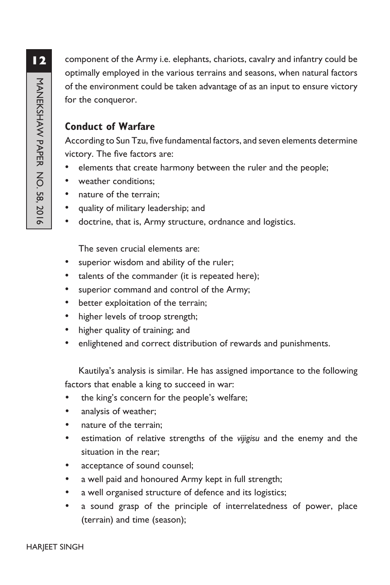component of the Army i.e. elephants, chariots, cavalry and infantry could be optimally employed in the various terrains and seasons, when natural factors of the environment could be taken advantage of as an input to ensure victory for the conqueror.

## **Conduct of Warfare**

According to Sun Tzu, five fundamental factors, and seven elements determine victory. The five factors are:

- elements that create harmony between the ruler and the people;
- weather conditions;
- nature of the terrain;
- quality of military leadership; and
- doctrine, that is, Army structure, ordnance and logistics.

The seven crucial elements are:

- superior wisdom and ability of the ruler;
- talents of the commander (it is repeated here);
- superior command and control of the Army;
- better exploitation of the terrain;
- higher levels of troop strength;
- higher quality of training; and
- enlightened and correct distribution of rewards and punishments.

Kautilya's analysis is similar. He has assigned importance to the following factors that enable a king to succeed in war:

- the king's concern for the people's welfare;
- analysis of weather;
- nature of the terrain;
- estimation of relative strengths of the *vijigisu* and the enemy and the situation in the rear;
- acceptance of sound counsel;
- a well paid and honoured Army kept in full strength;
- a well organised structure of defence and its logistics;
- a sound grasp of the principle of interrelatedness of power, place (terrain) and time (season);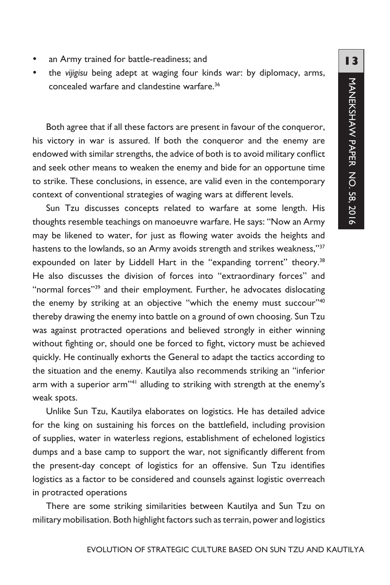- an Army trained for battle-readiness; and
- the *vijigisu* being adept at waging four kinds war: by diplomacy, arms, concealed warfare and clandestine warfare.36

Both agree that if all these factors are present in favour of the conqueror, his victory in war is assured. If both the conqueror and the enemy are endowed with similar strengths, the advice of both is to avoid military conflict and seek other means to weaken the enemy and bide for an opportune time to strike. These conclusions, in essence, are valid even in the contemporary context of conventional strategies of waging wars at different levels.

Sun Tzu discusses concepts related to warfare at some length. His thoughts resemble teachings on manoeuvre warfare. He says: "Now an Army may be likened to water, for just as flowing water avoids the heights and hastens to the lowlands, so an Army avoids strength and strikes weakness,"<sup>37</sup> expounded on later by Liddell Hart in the "expanding torrent" theory.<sup>38</sup> He also discusses the division of forces into "extraordinary forces" and "normal forces"<sup>39</sup> and their employment. Further, he advocates dislocating the enemy by striking at an objective "which the enemy must succour"<sup>40</sup> thereby drawing the enemy into battle on a ground of own choosing. Sun Tzu was against protracted operations and believed strongly in either winning without fighting or, should one be forced to fight, victory must be achieved quickly. He continually exhorts the General to adapt the tactics according to the situation and the enemy. Kautilya also recommends striking an "inferior arm with a superior arm"<sup>41</sup> alluding to striking with strength at the enemy's weak spots.

Unlike Sun Tzu, Kautilya elaborates on logistics. He has detailed advice for the king on sustaining his forces on the battlefield, including provision of supplies, water in waterless regions, establishment of echeloned logistics dumps and a base camp to support the war, not significantly different from the present-day concept of logistics for an offensive. Sun Tzu identifies logistics as a factor to be considered and counsels against logistic overreach in protracted operations

There are some striking similarities between Kautilya and Sun Tzu on military mobilisation. Both highlight factors such as terrain, power and logistics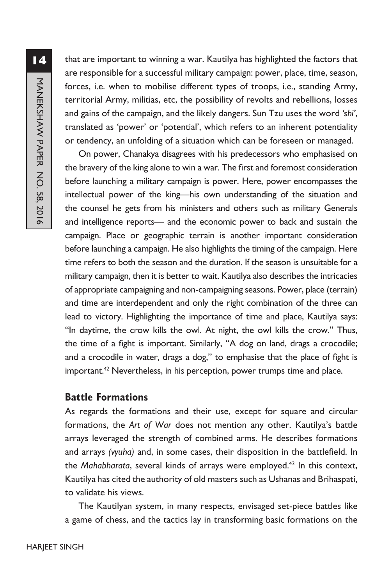that are important to winning a war. Kautilya has highlighted the factors that are responsible for a successful military campaign: power, place, time, season, forces, i.e. when to mobilise different types of troops, i.e., standing Army, territorial Army, militias, etc, the possibility of revolts and rebellions, losses and gains of the campaign, and the likely dangers. Sun Tzu uses the word *'shi'*, translated as 'power' or 'potential', which refers to an inherent potentiality or tendency, an unfolding of a situation which can be foreseen or managed.

On power, Chanakya disagrees with his predecessors who emphasised on the bravery of the king alone to win a war. The first and foremost consideration before launching a military campaign is power. Here, power encompasses the intellectual power of the king—his own understanding of the situation and the counsel he gets from his ministers and others such as military Generals and intelligence reports— and the economic power to back and sustain the campaign. Place or geographic terrain is another important consideration before launching a campaign. He also highlights the timing of the campaign. Here time refers to both the season and the duration. If the season is unsuitable for a military campaign, then it is better to wait. Kautilya also describes the intricacies of appropriate campaigning and non-campaigning seasons. Power, place (terrain) and time are interdependent and only the right combination of the three can lead to victory. Highlighting the importance of time and place, Kautilya says: "In daytime, the crow kills the owl. At night, the owl kills the crow." Thus, the time of a fight is important. Similarly, "A dog on land, drags a crocodile; and a crocodile in water, drags a dog," to emphasise that the place of fight is important.<sup>42</sup> Nevertheless, in his perception, power trumps time and place.

## **Battle Formations**

As regards the formations and their use, except for square and circular formations, the *Art of War* does not mention any other. Kautilya's battle arrays leveraged the strength of combined arms. He describes formations and arrays *(vyuha)* and, in some cases, their disposition in the battlefield. In the *Mahabharata*, several kinds of arrays were employed.43 In this context, Kautilya has cited the authority of old masters such as Ushanas and Brihaspati, to validate his views.

The Kautilyan system, in many respects, envisaged set-piece battles like a game of chess, and the tactics lay in transforming basic formations on the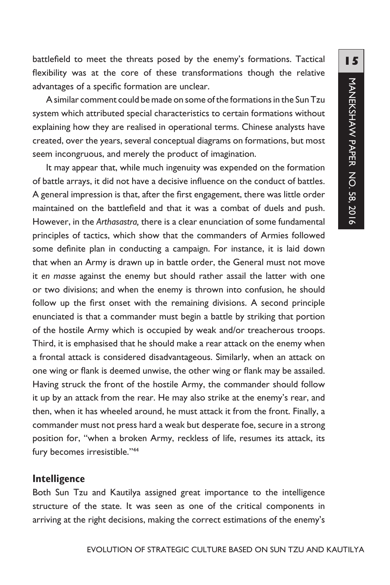battlefield to meet the threats posed by the enemy's formations. Tactical flexibility was at the core of these transformations though the relative advantages of a specific formation are unclear.

A similar comment could be made on some of the formations in the Sun Tzu system which attributed special characteristics to certain formations without explaining how they are realised in operational terms. Chinese analysts have created, over the years, several conceptual diagrams on formations, but most seem incongruous, and merely the product of imagination.

It may appear that, while much ingenuity was expended on the formation of battle arrays, it did not have a decisive influence on the conduct of battles. A general impression is that, after the first engagement, there was little order maintained on the battlefield and that it was a combat of duels and push. However, in the *Arthasastra,* there is a clear enunciation of some fundamental principles of tactics, which show that the commanders of Armies followed some definite plan in conducting a campaign. For instance, it is laid down that when an Army is drawn up in battle order, the General must not move it *en masse* against the enemy but should rather assail the latter with one or two divisions; and when the enemy is thrown into confusion, he should follow up the first onset with the remaining divisions. A second principle enunciated is that a commander must begin a battle by striking that portion of the hostile Army which is occupied by weak and/or treacherous troops. Third, it is emphasised that he should make a rear attack on the enemy when a frontal attack is considered disadvantageous. Similarly, when an attack on one wing or flank is deemed unwise, the other wing or flank may be assailed. Having struck the front of the hostile Army, the commander should follow it up by an attack from the rear. He may also strike at the enemy's rear, and then, when it has wheeled around, he must attack it from the front. Finally, a commander must not press hard a weak but desperate foe, secure in a strong position for, "when a broken Army, reckless of life, resumes its attack, its fury becomes irresistible."44

#### **Intelligence**

Both Sun Tzu and Kautilya assigned great importance to the intelligence structure of the state. It was seen as one of the critical components in arriving at the right decisions, making the correct estimations of the enemy's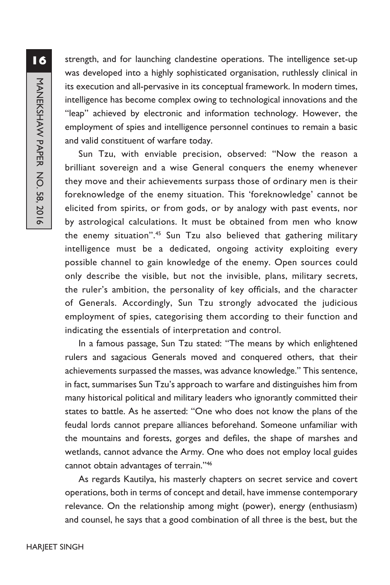strength, and for launching clandestine operations. The intelligence set-up was developed into a highly sophisticated organisation, ruthlessly clinical in its execution and all-pervasive in its conceptual framework. In modern times, intelligence has become complex owing to technological innovations and the "leap" achieved by electronic and information technology. However, the employment of spies and intelligence personnel continues to remain a basic and valid constituent of warfare today.

Sun Tzu, with enviable precision, observed: "Now the reason a brilliant sovereign and a wise General conquers the enemy whenever they move and their achievements surpass those of ordinary men is their foreknowledge of the enemy situation. This 'foreknowledge' cannot be elicited from spirits, or from gods, or by analogy with past events, nor by astrological calculations. It must be obtained from men who know the enemy situation".<sup>45</sup> Sun Tzu also believed that gathering military intelligence must be a dedicated, ongoing activity exploiting every possible channel to gain knowledge of the enemy. Open sources could only describe the visible, but not the invisible, plans, military secrets, the ruler's ambition, the personality of key officials, and the character of Generals. Accordingly, Sun Tzu strongly advocated the judicious employment of spies, categorising them according to their function and indicating the essentials of interpretation and control.

In a famous passage, Sun Tzu stated: "The means by which enlightened rulers and sagacious Generals moved and conquered others, that their achievements surpassed the masses, was advance knowledge." This sentence, in fact, summarises Sun Tzu's approach to warfare and distinguishes him from many historical political and military leaders who ignorantly committed their states to battle. As he asserted: "One who does not know the plans of the feudal lords cannot prepare alliances beforehand. Someone unfamiliar with the mountains and forests, gorges and defiles, the shape of marshes and wetlands, cannot advance the Army. One who does not employ local guides cannot obtain advantages of terrain."46

As regards Kautilya, his masterly chapters on secret service and covert operations, both in terms of concept and detail, have immense contemporary relevance. On the relationship among might (power), energy (enthusiasm) and counsel, he says that a good combination of all three is the best, but the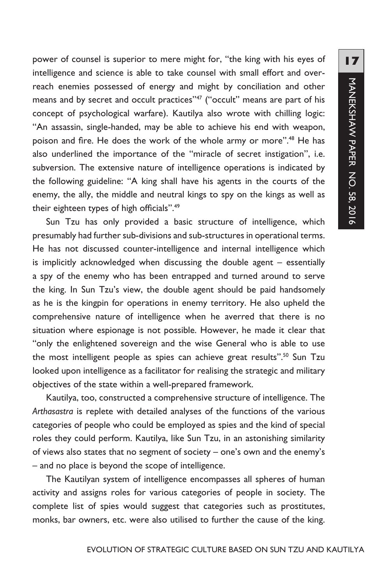**17**MANEKSHAW PAPER NO. 58, 2016 MANEKSHAW PAPER NO. 58, 2016

power of counsel is superior to mere might for, "the king with his eyes of intelligence and science is able to take counsel with small effort and overreach enemies possessed of energy and might by conciliation and other means and by secret and occult practices"<sup>47</sup> ("occult" means are part of his concept of psychological warfare). Kautilya also wrote with chilling logic: "An assassin, single-handed, may be able to achieve his end with weapon, poison and fire. He does the work of the whole army or more".48 He has also underlined the importance of the "miracle of secret instigation", i.e. subversion. The extensive nature of intelligence operations is indicated by the following guideline: "A king shall have his agents in the courts of the enemy, the ally, the middle and neutral kings to spy on the kings as well as their eighteen types of high officials".<sup>49</sup>

Sun Tzu has only provided a basic structure of intelligence, which presumably had further sub-divisions and sub-structures in operational terms. He has not discussed counter-intelligence and internal intelligence which is implicitly acknowledged when discussing the double agent – essentially a spy of the enemy who has been entrapped and turned around to serve the king. In Sun Tzu's view, the double agent should be paid handsomely as he is the kingpin for operations in enemy territory. He also upheld the comprehensive nature of intelligence when he averred that there is no situation where espionage is not possible. However, he made it clear that "only the enlightened sovereign and the wise General who is able to use the most intelligent people as spies can achieve great results".<sup>50</sup> Sun Tzu looked upon intelligence as a facilitator for realising the strategic and military objectives of the state within a well-prepared framework.

Kautilya, too, constructed a comprehensive structure of intelligence. The *Arthasastra* is replete with detailed analyses of the functions of the various categories of people who could be employed as spies and the kind of special roles they could perform. Kautilya, like Sun Tzu, in an astonishing similarity of views also states that no segment of society – one's own and the enemy's – and no place is beyond the scope of intelligence.

The Kautilyan system of intelligence encompasses all spheres of human activity and assigns roles for various categories of people in society. The complete list of spies would suggest that categories such as prostitutes, monks, bar owners, etc. were also utilised to further the cause of the king.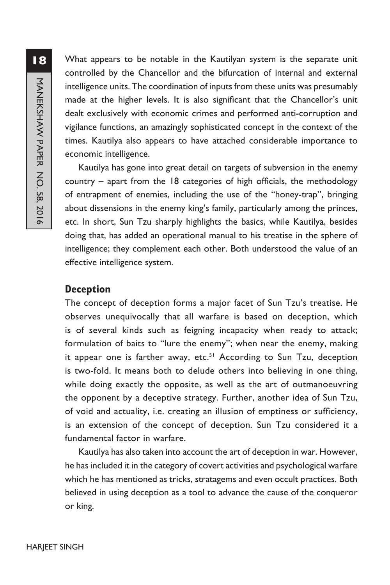What appears to be notable in the Kautilyan system is the separate unit controlled by the Chancellor and the bifurcation of internal and external intelligence units. The coordination of inputs from these units was presumably made at the higher levels. It is also significant that the Chancellor's unit dealt exclusively with economic crimes and performed anti-corruption and vigilance functions, an amazingly sophisticated concept in the context of the times. Kautilya also appears to have attached considerable importance to economic intelligence.

Kautilya has gone into great detail on targets of subversion in the enemy country – apart from the 18 categories of high officials, the methodology of entrapment of enemies, including the use of the "honey-trap", bringing about dissensions in the enemy king's family, particularly among the princes, etc. In short, Sun Tzu sharply highlights the basics, while Kautilya, besides doing that, has added an operational manual to his treatise in the sphere of intelligence; they complement each other. Both understood the value of an effective intelligence system.

## **Deception**

The concept of deception forms a major facet of Sun Tzu's treatise. He observes unequivocally that all warfare is based on deception, which is of several kinds such as feigning incapacity when ready to attack; formulation of baits to "lure the enemy"; when near the enemy, making it appear one is farther away, etc. $51$  According to Sun Tzu, deception is two-fold. It means both to delude others into believing in one thing, while doing exactly the opposite, as well as the art of outmanoeuvring the opponent by a deceptive strategy. Further, another idea of Sun Tzu, of void and actuality, i.e. creating an illusion of emptiness or sufficiency, is an extension of the concept of deception. Sun Tzu considered it a fundamental factor in warfare.

Kautilya has also taken into account the art of deception in war. However, he has included it in the category of covert activities and psychological warfare which he has mentioned as tricks, stratagems and even occult practices. Both believed in using deception as a tool to advance the cause of the conqueror or king.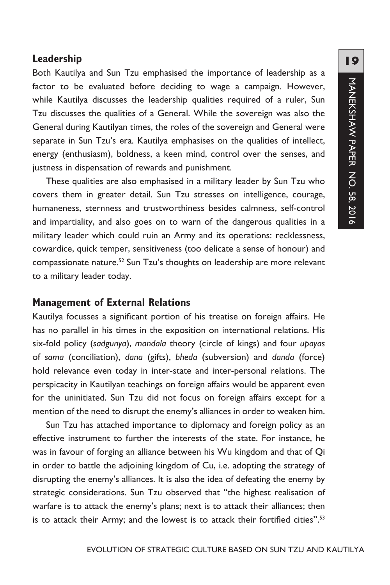## **Leadership**

Both Kautilya and Sun Tzu emphasised the importance of leadership as a factor to be evaluated before deciding to wage a campaign. However, while Kautilya discusses the leadership qualities required of a ruler, Sun Tzu discusses the qualities of a General. While the sovereign was also the General during Kautilyan times, the roles of the sovereign and General were separate in Sun Tzu's era. Kautilya emphasises on the qualities of intellect, energy (enthusiasm), boldness, a keen mind, control over the senses, and justness in dispensation of rewards and punishment.

These qualities are also emphasised in a military leader by Sun Tzu who covers them in greater detail. Sun Tzu stresses on intelligence, courage, humaneness, sternness and trustworthiness besides calmness, self-control and impartiality, and also goes on to warn of the dangerous qualities in a military leader which could ruin an Army and its operations: recklessness, cowardice, quick temper, sensitiveness (too delicate a sense of honour) and compassionate nature.<sup>52</sup> Sun Tzu's thoughts on leadership are more relevant to a military leader today.

## **Management of External Relations**

Kautilya focusses a significant portion of his treatise on foreign affairs. He has no parallel in his times in the exposition on international relations. His six-fold policy (*sadgunya*), *mandala* theory (circle of kings) and four *upayas* of *sama* (conciliation), *dana* (gifts), *bheda* (subversion) and *danda* (force) hold relevance even today in inter-state and inter-personal relations. The perspicacity in Kautilyan teachings on foreign affairs would be apparent even for the uninitiated. Sun Tzu did not focus on foreign affairs except for a mention of the need to disrupt the enemy's alliances in order to weaken him.

Sun Tzu has attached importance to diplomacy and foreign policy as an effective instrument to further the interests of the state. For instance, he was in favour of forging an alliance between his Wu kingdom and that of Qi in order to battle the adjoining kingdom of Cu, i.e. adopting the strategy of disrupting the enemy's alliances. It is also the idea of defeating the enemy by strategic considerations. Sun Tzu observed that "the highest realisation of warfare is to attack the enemy's plans; next is to attack their alliances; then is to attack their Army; and the lowest is to attack their fortified cities".<sup>53</sup>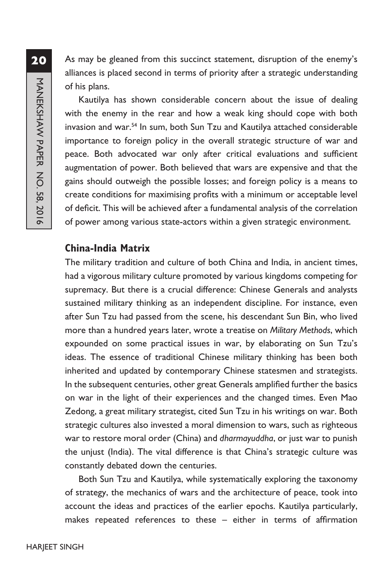As may be gleaned from this succinct statement, disruption of the enemy's alliances is placed second in terms of priority after a strategic understanding of his plans.

Kautilya has shown considerable concern about the issue of dealing with the enemy in the rear and how a weak king should cope with both invasion and war.54 In sum, both Sun Tzu and Kautilya attached considerable importance to foreign policy in the overall strategic structure of war and peace. Both advocated war only after critical evaluations and sufficient augmentation of power. Both believed that wars are expensive and that the gains should outweigh the possible losses; and foreign policy is a means to create conditions for maximising profits with a minimum or acceptable level of deficit. This will be achieved after a fundamental analysis of the correlation of power among various state-actors within a given strategic environment.

## **China-India Matrix**

The military tradition and culture of both China and India, in ancient times, had a vigorous military culture promoted by various kingdoms competing for supremacy. But there is a crucial difference: Chinese Generals and analysts sustained military thinking as an independent discipline. For instance, even after Sun Tzu had passed from the scene, his descendant Sun Bin, who lived more than a hundred years later, wrote a treatise on *Military Methods*, which expounded on some practical issues in war, by elaborating on Sun Tzu's ideas. The essence of traditional Chinese military thinking has been both inherited and updated by contemporary Chinese statesmen and strategists. In the subsequent centuries, other great Generals amplified further the basics on war in the light of their experiences and the changed times. Even Mao Zedong, a great military strategist, cited Sun Tzu in his writings on war. Both strategic cultures also invested a moral dimension to wars, such as righteous war to restore moral order (China) and *dharmayuddha*, or just war to punish the unjust (India). The vital difference is that China's strategic culture was constantly debated down the centuries.

Both Sun Tzu and Kautilya, while systematically exploring the taxonomy of strategy, the mechanics of wars and the architecture of peace, took into account the ideas and practices of the earlier epochs. Kautilya particularly, makes repeated references to these – either in terms of affirmation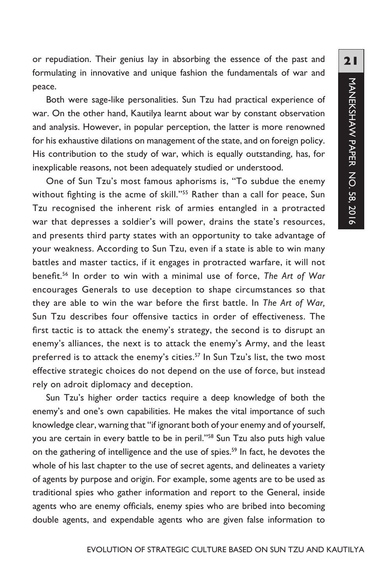or repudiation. Their genius lay in absorbing the essence of the past and formulating in innovative and unique fashion the fundamentals of war and peace.

Both were sage-like personalities. Sun Tzu had practical experience of war. On the other hand, Kautilya learnt about war by constant observation and analysis. However, in popular perception, the latter is more renowned for his exhaustive dilations on management of the state, and on foreign policy. His contribution to the study of war, which is equally outstanding, has, for inexplicable reasons, not been adequately studied or understood.

One of Sun Tzu's most famous aphorisms is, "To subdue the enemy without fighting is the acme of skill."<sup>55</sup> Rather than a call for peace, Sun Tzu recognised the inherent risk of armies entangled in a protracted war that depresses a soldier's will power, drains the state's resources, and presents third party states with an opportunity to take advantage of your weakness. According to Sun Tzu, even if a state is able to win many battles and master tactics, if it engages in protracted warfare, it will not benefit.56 In order to win with a minimal use of force, *The Art of War* encourages Generals to use deception to shape circumstances so that they are able to win the war before the first battle. In *The Art of War,* Sun Tzu describes four offensive tactics in order of effectiveness. The first tactic is to attack the enemy's strategy, the second is to disrupt an enemy's alliances, the next is to attack the enemy's Army, and the least preferred is to attack the enemy's cities.<sup>57</sup> In Sun Tzu's list, the two most effective strategic choices do not depend on the use of force, but instead rely on adroit diplomacy and deception.

Sun Tzu's higher order tactics require a deep knowledge of both the enemy's and one's own capabilities. He makes the vital importance of such knowledge clear, warning that "if ignorant both of your enemy and of yourself, you are certain in every battle to be in peril."58 Sun Tzu also puts high value on the gathering of intelligence and the use of spies.<sup>59</sup> In fact, he devotes the whole of his last chapter to the use of secret agents, and delineates a variety of agents by purpose and origin. For example, some agents are to be used as traditional spies who gather information and report to the General, inside agents who are enemy officials, enemy spies who are bribed into becoming double agents, and expendable agents who are given false information to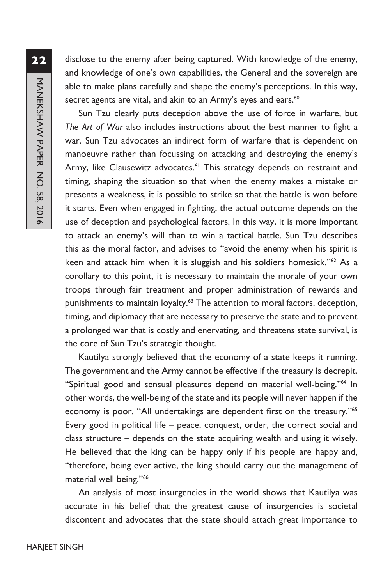**22**MANEKSHAW PAPER NO. 58, 2016 MANEKSHAW PAPER NO. 58, 2016

disclose to the enemy after being captured. With knowledge of the enemy, and knowledge of one's own capabilities, the General and the sovereign are able to make plans carefully and shape the enemy's perceptions. In this way, secret agents are vital, and akin to an Army's eyes and ears.<sup>60</sup>

Sun Tzu clearly puts deception above the use of force in warfare, but *The Art of War* also includes instructions about the best manner to fight a war. Sun Tzu advocates an indirect form of warfare that is dependent on manoeuvre rather than focussing on attacking and destroying the enemy's Army, like Clausewitz advocates.<sup>61</sup> This strategy depends on restraint and timing, shaping the situation so that when the enemy makes a mistake or presents a weakness, it is possible to strike so that the battle is won before it starts. Even when engaged in fighting, the actual outcome depends on the use of deception and psychological factors. In this way, it is more important to attack an enemy's will than to win a tactical battle. Sun Tzu describes this as the moral factor, and advises to "avoid the enemy when his spirit is keen and attack him when it is sluggish and his soldiers homesick."62 As a corollary to this point, it is necessary to maintain the morale of your own troops through fair treatment and proper administration of rewards and punishments to maintain loyalty.<sup>63</sup> The attention to moral factors, deception, timing, and diplomacy that are necessary to preserve the state and to prevent a prolonged war that is costly and enervating, and threatens state survival, is the core of Sun Tzu's strategic thought.

Kautilya strongly believed that the economy of a state keeps it running. The government and the Army cannot be effective if the treasury is decrepit. "Spiritual good and sensual pleasures depend on material well-being."64 In other words, the well-being of the state and its people will never happen if the economy is poor. "All undertakings are dependent first on the treasury."<sup>65</sup> Every good in political life – peace, conquest, order, the correct social and class structure – depends on the state acquiring wealth and using it wisely. He believed that the king can be happy only if his people are happy and, "therefore, being ever active, the king should carry out the management of material well being."66

An analysis of most insurgencies in the world shows that Kautilya was accurate in his belief that the greatest cause of insurgencies is societal discontent and advocates that the state should attach great importance to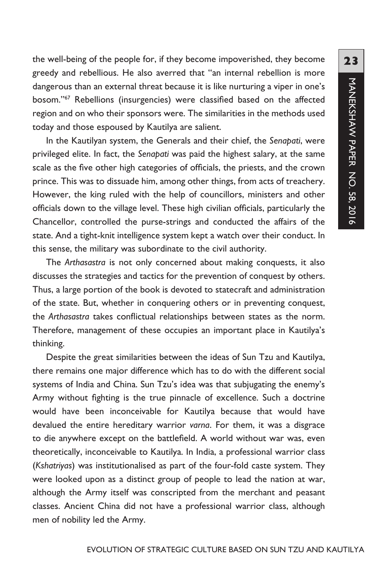the well-being of the people for, if they become impoverished, they become greedy and rebellious. He also averred that "an internal rebellion is more dangerous than an external threat because it is like nurturing a viper in one's bosom."<sup>67</sup> Rebellions (insurgencies) were classified based on the affected region and on who their sponsors were. The similarities in the methods used today and those espoused by Kautilya are salient.

In the Kautilyan system, the Generals and their chief, the *Senapati*, were privileged elite. In fact, the *Senapati* was paid the highest salary, at the same scale as the five other high categories of officials, the priests, and the crown prince. This was to dissuade him, among other things, from acts of treachery. However, the king ruled with the help of councillors, ministers and other officials down to the village level. These high civilian officials, particularly the Chancellor, controlled the purse-strings and conducted the affairs of the state. And a tight-knit intelligence system kept a watch over their conduct. In this sense, the military was subordinate to the civil authority.

The *Arthasastra* is not only concerned about making conquests, it also discusses the strategies and tactics for the prevention of conquest by others. Thus, a large portion of the book is devoted to statecraft and administration of the state. But, whether in conquering others or in preventing conquest, the *Arthasastra* takes conflictual relationships between states as the norm. Therefore, management of these occupies an important place in Kautilya's thinking.

Despite the great similarities between the ideas of Sun Tzu and Kautilya, there remains one major difference which has to do with the different social systems of India and China. Sun Tzu's idea was that subjugating the enemy's Army without fighting is the true pinnacle of excellence. Such a doctrine would have been inconceivable for Kautilya because that would have devalued the entire hereditary warrior *varna*. For them, it was a disgrace to die anywhere except on the battlefield. A world without war was, even theoretically, inconceivable to Kautilya. In India, a professional warrior class (*Kshatriyas*) was institutionalised as part of the four-fold caste system. They were looked upon as a distinct group of people to lead the nation at war, although the Army itself was conscripted from the merchant and peasant classes. Ancient China did not have a professional warrior class, although men of nobility led the Army.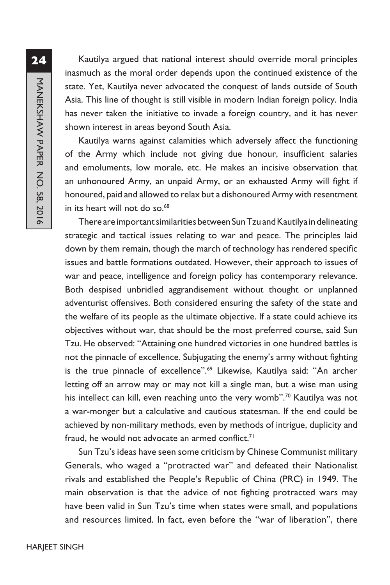**24**Kautilya argued that national interest should override moral principles inasmuch as the moral order depends upon the continued existence of the state. Yet, Kautilya never advocated the conquest of lands outside of South Asia. This line of thought is still visible in modern Indian foreign policy. India has never taken the initiative to invade a foreign country, and it has never shown interest in areas beyond South Asia. Kautilya warns against calamities which adversely affect the functioning

of the Army which include not giving due honour, insufficient salaries and emoluments, low morale, etc. He makes an incisive observation that an unhonoured Army, an unpaid Army, or an exhausted Army will fight if honoured, paid and allowed to relax but a dishonoured Army with resentment in its heart will not do so.<sup>68</sup>

There are important similarities between Sun Tzu and Kautilya in delineating strategic and tactical issues relating to war and peace. The principles laid down by them remain, though the march of technology has rendered specific issues and battle formations outdated. However, their approach to issues of war and peace, intelligence and foreign policy has contemporary relevance. Both despised unbridled aggrandisement without thought or unplanned adventurist offensives. Both considered ensuring the safety of the state and the welfare of its people as the ultimate objective. If a state could achieve its objectives without war, that should be the most preferred course, said Sun Tzu. He observed: "Attaining one hundred victories in one hundred battles is not the pinnacle of excellence. Subjugating the enemy's army without fighting is the true pinnacle of excellence".69 Likewise, Kautilya said: "An archer letting off an arrow may or may not kill a single man, but a wise man using his intellect can kill, even reaching unto the very womb".<sup>70</sup> Kautilya was not a war-monger but a calculative and cautious statesman. If the end could be achieved by non-military methods, even by methods of intrigue, duplicity and fraud, he would not advocate an armed conflict.<sup>71</sup>

Sun Tzu's ideas have seen some criticism by Chinese Communist military Generals, who waged a "protracted war" and defeated their Nationalist rivals and established the People's Republic of China (PRC) in 1949. The main observation is that the advice of not fighting protracted wars may have been valid in Sun Tzu's time when states were small, and populations and resources limited. In fact, even before the "war of liberation", there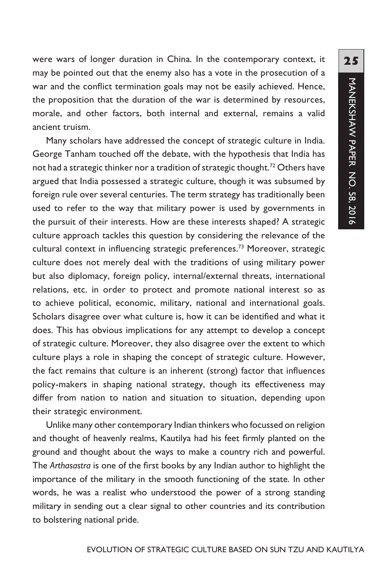were wars of longer duration in China. In the contemporary context, it may be pointed out that the enemy also has a vote in the prosecution of a war and the conflict termination goals may not be easily achieved. Hence, the proposition that the duration of the war is determined by resources, morale, and other factors, both internal and external, remains a valid ancient truism.

Many scholars have addressed the concept of strategic culture in India. George Tanham touched off the debate, with the hypothesis that India has not had a strategic thinker nor a tradition of strategic thought.<sup>72</sup> Others have argued that India possessed a strategic culture, though it was subsumed by foreign rule over several centuries. The term strategy has traditionally been used to refer to the way that military power is used by governments in the pursuit of their interests. How are these interests shaped? A strategic culture approach tackles this question by considering the relevance of the cultural context in influencing strategic preferences.<sup>73</sup> Moreover, strategic culture does not merely deal with the traditions of using military power but also diplomacy, foreign policy, internal/external threats, international relations, etc. in order to protect and promote national interest so as to achieve political, economic, military, national and international goals. Scholars disagree over what culture is, how it can be identified and what it does. This has obvious implications for any attempt to develop a concept of strategic culture. Moreover, they also disagree over the extent to which culture plays a role in shaping the concept of strategic culture. However, the fact remains that culture is an inherent (strong) factor that influences policy-makers in shaping national strategy, though its effectiveness may differ from nation to nation and situation to situation, depending upon their strategic environment.

Unlike many other contemporary Indian thinkers who focussed on religion and thought of heavenly realms, Kautilya had his feet firmly planted on the ground and thought about the ways to make a country rich and powerful. The *Arthasastra* is one of the first books by any Indian author to highlight the importance of the military in the smooth functioning of the state. In other words, he was a realist who understood the power of a strong standing military in sending out a clear signal to other countries and its contribution to bolstering national pride.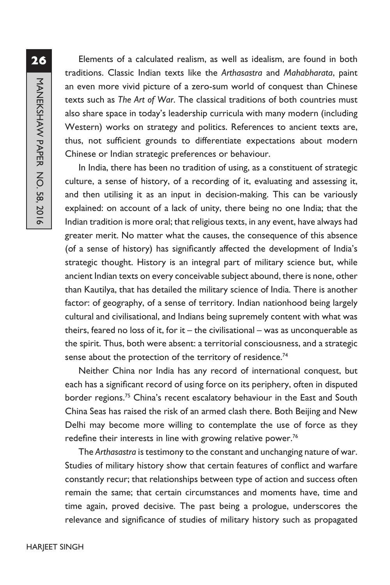**26**MANEKSHAW PAPER NO. 58, 2016 MANEKSHAW PAPER NO. 58, 2016

Elements of a calculated realism, as well as idealism, are found in both traditions. Classic Indian texts like the *Arthasastra* and *Mahabharata*, paint an even more vivid picture of a zero-sum world of conquest than Chinese texts such as *The Art of War*. The classical traditions of both countries must also share space in today's leadership curricula with many modern (including Western) works on strategy and politics. References to ancient texts are, thus, not sufficient grounds to differentiate expectations about modern Chinese or Indian strategic preferences or behaviour.

In India, there has been no tradition of using, as a constituent of strategic culture, a sense of history, of a recording of it, evaluating and assessing it, and then utilising it as an input in decision-making. This can be variously explained: on account of a lack of unity, there being no one India; that the Indian tradition is more oral; that religious texts, in any event, have always had greater merit. No matter what the causes, the consequence of this absence (of a sense of history) has significantly affected the development of India's strategic thought. History is an integral part of military science but, while ancient Indian texts on every conceivable subject abound, there is none, other than Kautilya, that has detailed the military science of India. There is another factor: of geography, of a sense of territory. Indian nationhood being largely cultural and civilisational, and Indians being supremely content with what was theirs, feared no loss of it, for it – the civilisational – was as unconquerable as the spirit. Thus, both were absent: a territorial consciousness, and a strategic sense about the protection of the territory of residence.<sup>74</sup>

Neither China nor India has any record of international conquest, but each has a significant record of using force on its periphery, often in disputed border regions.<sup>75</sup> China's recent escalatory behaviour in the East and South China Seas has raised the risk of an armed clash there. Both Beijing and New Delhi may become more willing to contemplate the use of force as they redefine their interests in line with growing relative power.<sup>76</sup>

The *Arthasastra* is testimony to the constant and unchanging nature of war. Studies of military history show that certain features of conflict and warfare constantly recur; that relationships between type of action and success often remain the same; that certain circumstances and moments have, time and time again, proved decisive. The past being a prologue, underscores the relevance and significance of studies of military history such as propagated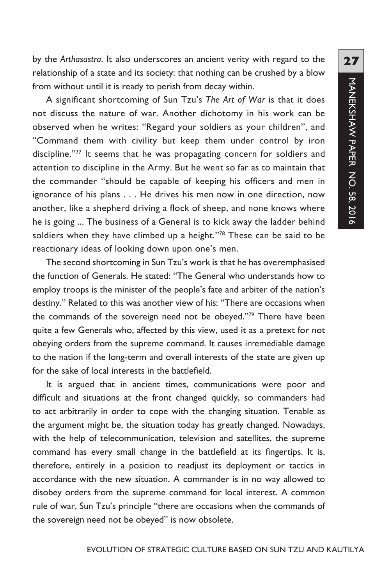by the *Arthasastra*. It also underscores an ancient verity with regard to the relationship of a state and its society: that nothing can be crushed by a blow from without until it is ready to perish from decay within.

A significant shortcoming of Sun Tzu's *The Art of War* is that it does not discuss the nature of war. Another dichotomy in his work can be observed when he writes: "Regard your soldiers as your children", and "Command them with civility but keep them under control by iron discipline."77 It seems that he was propagating concern for soldiers and attention to discipline in the Army. But he went so far as to maintain that the commander "should be capable of keeping his officers and men in ignorance of his plans . . . He drives his men now in one direction, now another, like a shepherd driving a flock of sheep, and none knows where he is going ... The business of a General is to kick away the ladder behind soldiers when they have climbed up a height."78 These can be said to be reactionary ideas of looking down upon one's men.

The second shortcoming in Sun Tzu's work is that he has overemphasised the function of Generals. He stated: "The General who understands how to employ troops is the minister of the people's fate and arbiter of the nation's destiny." Related to this was another view of his: "There are occasions when the commands of the sovereign need not be obeyed."79 There have been quite a few Generals who, affected by this view, used it as a pretext for not obeying orders from the supreme command. It causes irremediable damage to the nation if the long-term and overall interests of the state are given up for the sake of local interests in the battlefield.

It is argued that in ancient times, communications were poor and difficult and situations at the front changed quickly, so commanders had to act arbitrarily in order to cope with the changing situation. Tenable as the argument might be, the situation today has greatly changed. Nowadays, with the help of telecommunication, television and satellites, the supreme command has every small change in the battlefield at its fingertips. It is, therefore, entirely in a position to readjust its deployment or tactics in accordance with the new situation. A commander is in no way allowed to disobey orders from the supreme command for local interest. A common rule of war, Sun Tzu's principle "there are occasions when the commands of the sovereign need not be obeyed" is now obsolete.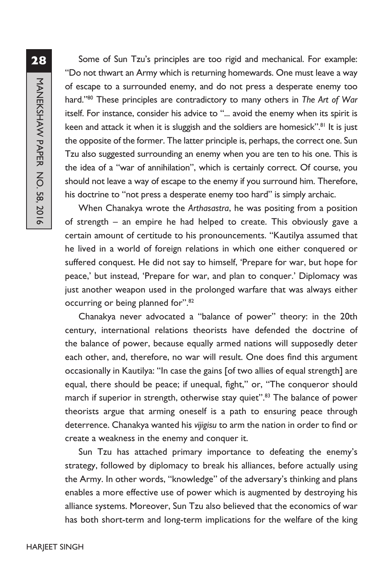MANEKSHAW PAPER NO. 58, 2016 MANEKSHAW PAPER NO. 58, 2016

Some of Sun Tzu's principles are too rigid and mechanical. For example: "Do not thwart an Army which is returning homewards. One must leave a way of escape to a surrounded enemy, and do not press a desperate enemy too hard."80 These principles are contradictory to many others in *The Art of War* itself. For instance, consider his advice to "... avoid the enemy when its spirit is keen and attack it when it is sluggish and the soldiers are homesick".<sup>81</sup> It is just the opposite of the former. The latter principle is, perhaps, the correct one. Sun Tzu also suggested surrounding an enemy when you are ten to his one. This is the idea of a "war of annihilation", which is certainly correct. Of course, you should not leave a way of escape to the enemy if you surround him. Therefore, his doctrine to "not press a desperate enemy too hard" is simply archaic.

When Chanakya wrote the *Arthasastra*, he was positing from a position of strength – an empire he had helped to create. This obviously gave a certain amount of certitude to his pronouncements. "Kautilya assumed that he lived in a world of foreign relations in which one either conquered or suffered conquest. He did not say to himself, 'Prepare for war, but hope for peace,' but instead, 'Prepare for war, and plan to conquer.' Diplomacy was just another weapon used in the prolonged warfare that was always either occurring or being planned for".82

Chanakya never advocated a "balance of power" theory: in the 20th century, international relations theorists have defended the doctrine of the balance of power, because equally armed nations will supposedly deter each other, and, therefore, no war will result. One does find this argument occasionally in Kautilya: "In case the gains [of two allies of equal strength] are equal, there should be peace; if unequal, fight," or, "The conqueror should march if superior in strength, otherwise stay quiet".<sup>83</sup> The balance of power theorists argue that arming oneself is a path to ensuring peace through deterrence. Chanakya wanted his *vijigisu* to arm the nation in order to find or create a weakness in the enemy and conquer it.

Sun Tzu has attached primary importance to defeating the enemy's strategy, followed by diplomacy to break his alliances, before actually using the Army. In other words, "knowledge" of the adversary's thinking and plans enables a more effective use of power which is augmented by destroying his alliance systems. Moreover, Sun Tzu also believed that the economics of war has both short-term and long-term implications for the welfare of the king

## **28**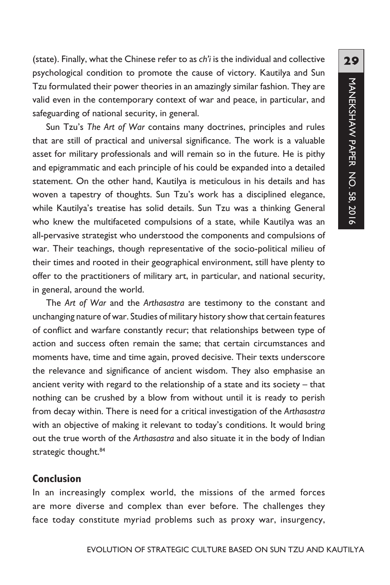(state). Finally, what the Chinese refer to as *ch'i* is the individual and collective psychological condition to promote the cause of victory. Kautilya and Sun Tzu formulated their power theories in an amazingly similar fashion. They are valid even in the contemporary context of war and peace, in particular, and safeguarding of national security, in general.

Sun Tzu's *The Art of War* contains many doctrines, principles and rules that are still of practical and universal significance. The work is a valuable asset for military professionals and will remain so in the future. He is pithy and epigrammatic and each principle of his could be expanded into a detailed statement. On the other hand, Kautilya is meticulous in his details and has woven a tapestry of thoughts. Sun Tzu's work has a disciplined elegance, while Kautilya's treatise has solid details. Sun Tzu was a thinking General who knew the multifaceted compulsions of a state, while Kautilya was an all-pervasive strategist who understood the components and compulsions of war. Their teachings, though representative of the socio-political milieu of their times and rooted in their geographical environment, still have plenty to offer to the practitioners of military art, in particular, and national security, in general, around the world.

The *Art of War* and the *Arthasastra* are testimony to the constant and unchanging nature of war. Studies of military history show that certain features of conflict and warfare constantly recur; that relationships between type of action and success often remain the same; that certain circumstances and moments have, time and time again, proved decisive. Their texts underscore the relevance and significance of ancient wisdom. They also emphasise an ancient verity with regard to the relationship of a state and its society – that nothing can be crushed by a blow from without until it is ready to perish from decay within. There is need for a critical investigation of the *Arthasastra* with an objective of making it relevant to today's conditions. It would bring out the true worth of the *Arthasastra* and also situate it in the body of Indian strategic thought.<sup>84</sup>

## **Conclusion**

In an increasingly complex world, the missions of the armed forces are more diverse and complex than ever before. The challenges they face today constitute myriad problems such as proxy war, insurgency,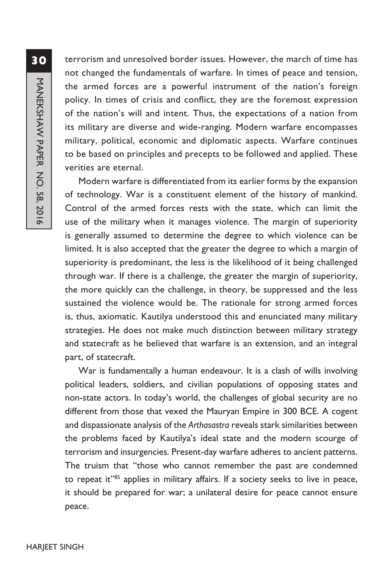terrorism and unresolved border issues. However, the march of time has not changed the fundamentals of warfare. In times of peace and tension, the armed forces are a powerful instrument of the nation's foreign policy. In times of crisis and conflict, they are the foremost expression of the nation's will and intent. Thus, the expectations of a nation from its military are diverse and wide-ranging. Modern warfare encompasses military, political, economic and diplomatic aspects. Warfare continues to be based on principles and precepts to be followed and applied. These verities are eternal.

Modern warfare is differentiated from its earlier forms by the expansion of technology. War is a constituent element of the history of mankind. Control of the armed forces rests with the state, which can limit the use of the military when it manages violence. The margin of superiority is generally assumed to determine the degree to which violence can be limited. It is also accepted that the greater the degree to which a margin of superiority is predominant, the less is the likelihood of it being challenged through war. If there is a challenge, the greater the margin of superiority, the more quickly can the challenge, in theory, be suppressed and the less sustained the violence would be. The rationale for strong armed forces is, thus, axiomatic. Kautilya understood this and enunciated many military strategies. He does not make much distinction between military strategy and statecraft as he believed that warfare is an extension, and an integral part, of statecraft.

War is fundamentally a human endeavour. It is a clash of wills involving political leaders, soldiers, and civilian populations of opposing states and non-state actors. In today's world, the challenges of global security are no different from those that vexed the Mauryan Empire in 300 BCE. A cogent and dispassionate analysis of the *Arthasastra* reveals stark similarities between the problems faced by Kautilya's ideal state and the modern scourge of terrorism and insurgencies. Present-day warfare adheres to ancient patterns. The truism that "those who cannot remember the past are condemned to repeat it"85 applies in military affairs. If a society seeks to live in peace, it should be prepared for war; a unilateral desire for peace cannot ensure peace.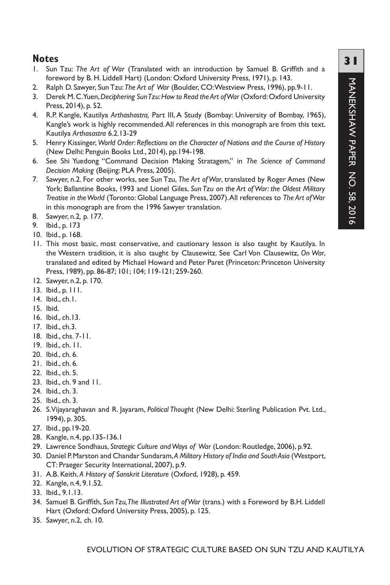## **Notes**

- 1. Sun Tzu: *The Art of War* (Translated with an introduction by Samuel B. Griffith and a foreword by B. H. Liddell Hart) (London: Oxford University Press, 1971), p. 143.
- 2. Ralph D. Sawyer, Sun Tzu: *The Art of War* (Boulder, CO: Westview Press, 1996), pp.9-11.
- 3. Derek M. C. Yuen, *Deciphering Sun Tzu: How to Read the Art of War* (Oxford: Oxford University Press, 2014), p. 52.
- 4. R.P. Kangle, Kautilya *Arthashastra,* Part III, A Study (Bombay: University of Bombay, 1965), Kangle's work is highly recommended. All references in this monograph are from this text. Kautilya *Arthasastra* 6.2.13-29
- 5. Henry Kissinger, *World Order: Reflections on the Character of Nations and the Course of History* (New Delhi: Penguin Books Ltd., 2014), pp.194-198.
- 6. See Shi Yuedong "Command Decision Making Stratagem," in *The Science of Command Decision Making* (Beijing: PLA Press, 2005).
- 7. Sawyer, n.2. For other works, see Sun Tzu, *The Art of War*, translated by Roger Ames (New York: Ballantine Books, 1993 and Lionel Giles, *Sun Tzu on the Art of War: the Oldest Military Treatise in the World* (Toronto: Global Language Press, 2007). All references to *The Art of War* in this monograph are from the 1996 Sawyer translation.
- 8. Sawyer, n.2*,* p. 177.
- 9. Ibid., p. 173
- 10. Ibid., p. 168.
- 11. This most basic, most conservative, and cautionary lesson is also taught by Kautilya. In the Western tradition, it is also taught by Clausewitz. See Carl Von Clausewitz, *On War*, translated and edited by Michael Howard and Peter Paret (Princeton: Princeton University Press, 1989), pp. 86-87; 101; 104; 119-121; 259-260.
- 12. Sawyer, n.2, p. 170.
- 13. Ibid., p. 111.
- 14. Ibid., ch.1.
- 15. Ibid.
- 16. Ibid., ch.13.
- 17. Ibid., ch.3.
- 18. Ibid., chs. 7-11.
- 19. Ibid., ch. 11.
- 20. Ibid., ch. 6.
- 21. Ibid., ch. 6.
- 22. Ibid., ch. 5.
- 23. Ibid., ch. 9 and 11.
- 24. Ibid., ch. 3.
- 25. Ibid., ch. 3.
- 26. S.Vijayaraghavan and R. Jayaram, *Political Thought* (New Delhi: Sterling Publication Pvt. Ltd., 1994), p. 305.
- 27. Ibid., pp.19-20.
- 28. Kangle, n.4, pp.135-136.1
- 29. Lawrence Sondhaus, *Strategic Culture and Ways of War* (London: Routledge, 2006), p.92.
- 30. Daniel P. Marston and Chandar Sundaram, *A Military History of India and South Asia* (Westport, CT: Praeger Security International, 2007), p.9.
- 31. A.B. Keith, *A History of Sanskrit Literature* (Oxford, 1928), p. 459.
- 32. Kangle, n.4, 9.1.52.
- 33. Ibid., 9.1.13.
- 34. Samuel B. Griffith, *Sun Tzu, The Illustrated Art of War* (trans.) with a Foreword by B.H. Liddell Hart (Oxford: Oxford University Press, 2005), p. 125.
- 35. Sawyer*,* n.2, ch. 10.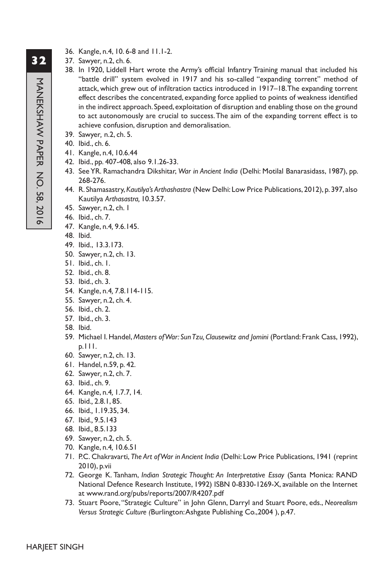- 36. Kangle, n.4, 10. 6-8 and 11.1-2.
- 37. Sawyer*,* n.2, ch. 6.
- 38. In 1920, Liddell Hart wrote the Army's official Infantry Training manual that included his "battle drill" system evolved in 1917 and his so-called "expanding torrent" method of attack, which grew out of infiltration tactics introduced in 1917–18. The expanding torrent effect describes the concentrated, expanding force applied to points of weakness identified in the indirect approach. Speed, exploitation of disruption and enabling those on the ground to act autonomously are crucial to success. The aim of the expanding torrent effect is to achieve confusion, disruption and demoralisation.
- 39. Sawyer*,* n.2, ch. 5.
- 40. Ibid., ch. 6.
- 41. Kangle, n.4, 10.6.44
- 42. Ibid., pp. 407-408, also 9.1.26-33.
- 43. See YR. Ramachandra Dikshitar, *War in Ancient India* (Delhi: Motilal Banarasidass, 1987), pp. 268-276.
- 44. R. Shamasastry, *Kautilya's Arthashastra* (New Delhi: Low Price Publications, 2012), p. 397, also Kautilya *Arthasastra,* 10.3.57.
- 45. Sawyer*,* n.2, ch. 1
- 46. Ibid., ch. 7.
- 47. Kangle, n.4*,* 9.6.145.
- 48. Ibid.
- 49. Ibid., 13.3.173.
- 50. Sawyer*,* n.2, ch. 13.
- 51. Ibid., ch. 1.
- 52. Ibid., ch. 8.
- 53. Ibid., ch. 3.
- 54. Kangle, n.4*,* 7.8.114-115.
- 55. Sawyer*,* n.2, ch. 4.
- 56. Ibid., ch. 2.
- 57. Ibid., ch. 3.
- 58. Ibid.
- 59. Michael I. Handel, *Masters of War: Sun Tzu, Clausewitz and Jomini* (Portland: Frank Cass, 1992), p.111.
- 60. Sawyer*,* n.2, ch. 13.
- 61. Handel, n.59, p. 42.
- 62. Sawyer*,* n.2, ch. 7.
- 63. Ibid., ch. 9.
- 64. Kangle, n.4*,* 1.7.7, 14.
- 65. Ibid.*,* 2.8.1, 85.
- 66. Ibid.*,* 1.19.35, 34.
- 67. Ibid.*,* 9.5.143
- 68. Ibid.*,* 8.5.133
- 69. Sawyer*,* n.2, ch. 5.
- 70. Kangle, n.4*,* 10.6.51
- 71. P.C. Chakravarti, *The Art of War in Ancient India* (Delhi: Low Price Publications, 1941 (reprint 2010), p.vii
- 72. George K. Tanham, *Indian Strategic Thought: An Interpretative Essay* (Santa Monica: RAND National Defence Research Institute, 1992) ISBN 0-8330-1269-X, available on the Internet at www.rand.org/pubs/reports/2007/R4207.pdf
- 73. Stuart Poore, "Strategic Culture" in John Glenn, Darryl and Stuart Poore, eds., *Neorealism Versus Strategic Culture (*Burlington: Ashgate Publishing Co.,2004 ), p.47.